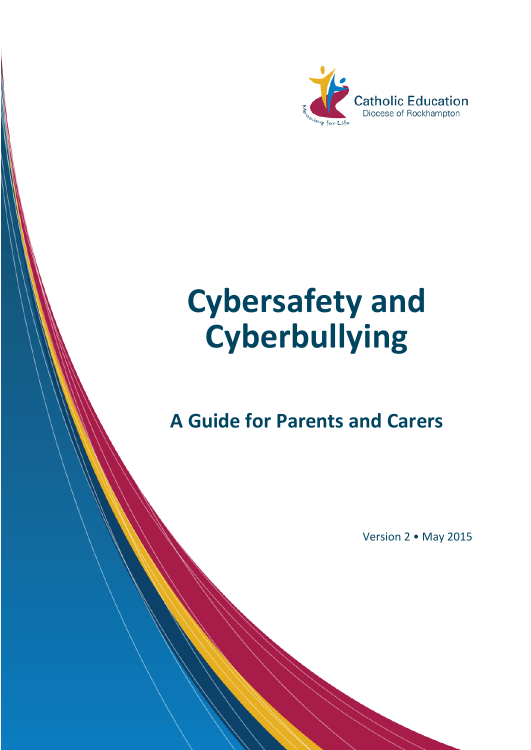

# **Cybersafety and Cyberbullying**

## **A Guide for Parents and Carers**

*Cybersafety & Cyberbullying - A Guide for Parents and Carers*

*Version 2 : May 2015 : Catholic Education Diocese of Rockhampton Page 1*

Version 2 • May 2015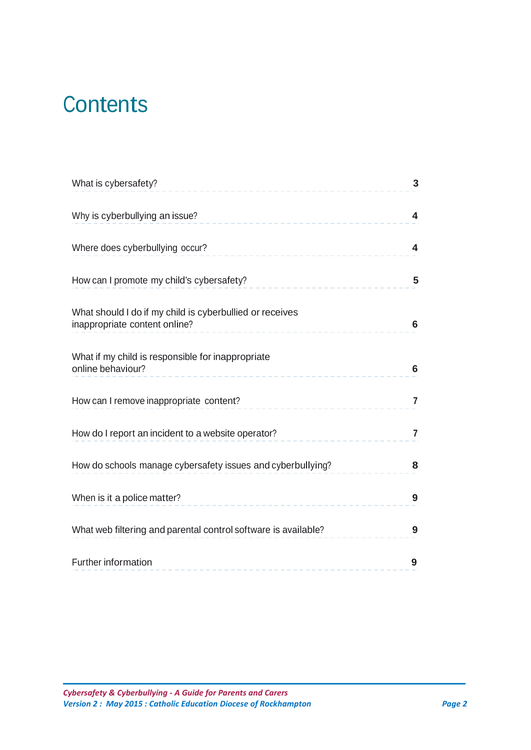# **Contents**

| What is cybersafety?                                                                      | 3              |
|-------------------------------------------------------------------------------------------|----------------|
| Why is cyberbullying an issue?                                                            | 4              |
| Where does cyberbullying occur?                                                           | 4              |
| How can I promote my child's cybersafety?                                                 | 5              |
| What should I do if my child is cyberbullied or receives<br>inappropriate content online? | 6              |
| What if my child is responsible for inappropriate<br>online behaviour?                    | 6              |
| How can I remove inappropriate content?                                                   | $\overline{7}$ |
| How do I report an incident to a website operator?                                        | $\overline{7}$ |
| How do schools manage cybersafety issues and cyberbullying?                               | 8              |
| When is it a police matter?                                                               | 9              |
| What web filtering and parental control software is available?                            | 9              |
| Further information<br>---------------------------                                        | 9              |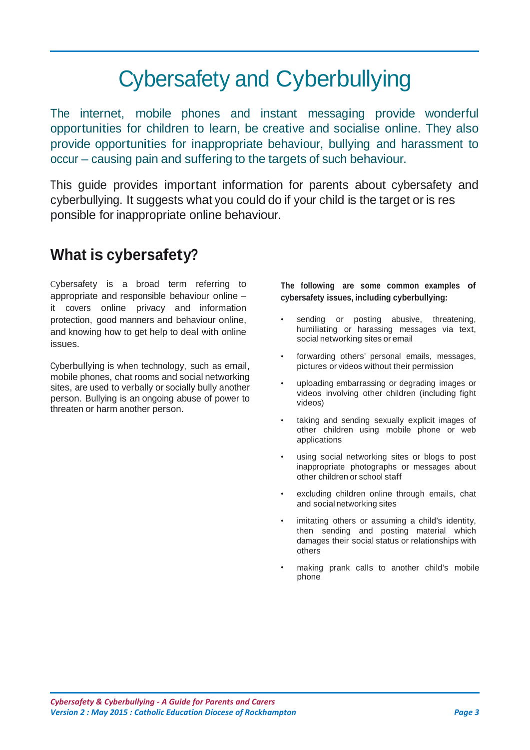# Cybersafety and Cyberbullying

The internet, mobile phones and instant messaging provide wonderful opportunities for children to learn, be creative and socialise online. They also provide opportunities for inappropriate behaviour, bullying and harassment to occur – causing pain and suffering to the targets of such behaviour.

This guide provides important information for parents about cybersafety and cyberbullying. It suggests what you could do if your child is the target or is res ponsible for inappropriate online behaviour.

### **What is cybersafety?**

Cybersafety is a broad term referring to appropriate and responsible behaviour online – it covers online privacy and information protection, good manners and behaviour online, and knowing how to get help to deal with online issues.

Cyberbullying is when technology, such as email, mobile phones, chat rooms and social networking sites, are used to verbally or socially bully another person. Bullying is an ongoing abuse of power to threaten or harm another person.

**The following are some common examples of cybersafety issues, including cyberbullying:**

- sending or posting abusive, threatening, humiliating or harassing messages via text, social networking sites or email
- forwarding others' personal emails, messages, pictures or videos without their permission
- uploading embarrassing or degrading images or videos involving other children (including fight videos)
- taking and sending sexually explicit images of other children using mobile phone or web applications
- using social networking sites or blogs to post inappropriate photographs or messages about other children or school staff
- excluding children online through emails, chat and social networking sites
- imitating others or assuming a child's identity, then sending and posting material which damages their social status or relationships with others
- making prank calls to another child's mobile phone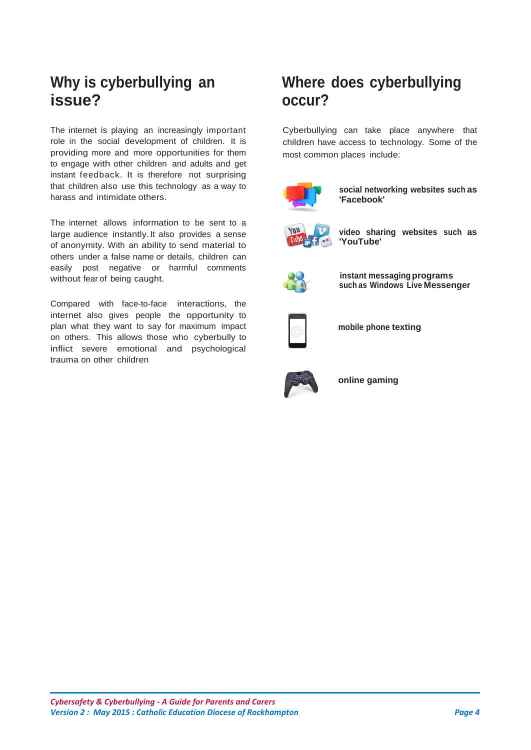### **Why is cyberbullying an issue?**

The internet is playing an increasingly important role in the social development of children. It is providing more and more opportunities for them to engage with other children and adults and get instant feedback. It is therefore not surprising that children also use this technology as a way to harass and intimidate others.

The internet allows information to be sent to a large audience instantly. It also provides a sense of anonymity. With an ability to send material to others under a false name or details, children can easily post negative or harmful comments without fear of being caught.

Compared with face-to-face interactions, the internet also gives people the opportunity to plan what they want to say for maximum impact on others. This allows those who cyberbully to inflict severe emotional and psychological trauma on other children

### **Where does cyberbullying occur?**

Cyberbullying can take place anywhere that children have access to technology. Some of the most common places include:



**social networking websites such as 'Facebook'**



**video sharing websites such as 'YouTube'**



**instant messaging programs such as Windows Live Messenger**



**mobile phone texting**



**online gaming**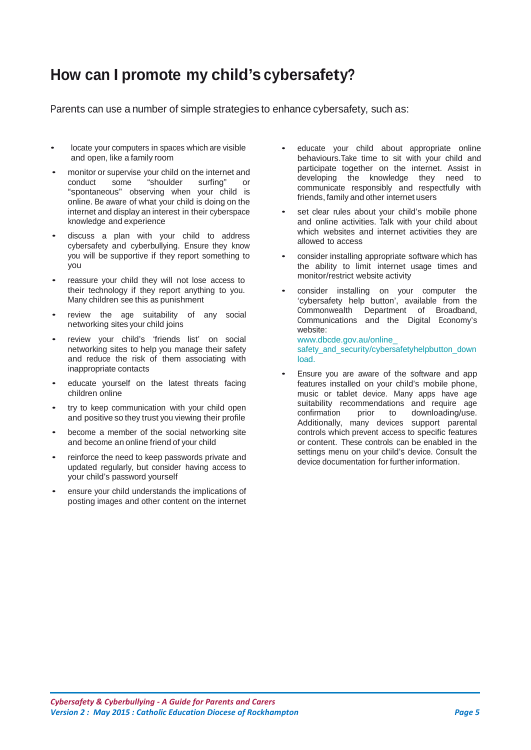### **How can I promote my child's cybersafety?**

Parents can use a number of simple strategies to enhance cybersafety, such as:

- locate your computers in spaces which are visible and open, like a family room
- monitor or supervise your child on the internet and<br>conduct some "shoulder surfing" or conduct some "shoulder surfing" or "spontaneous" observing when your child is online. Be aware of what your child is doing on the internet and display an interest in their cyberspace knowledge and experience
- discuss <sup>a</sup> plan with your child to address cybersafety and cyberbullying. Ensure they know you will be supportive if they report something to you
- reassure your child they will not lose access to their technology if they report anything to you. Many children see this as punishment
- review the age suitability of any social networking sites your child joins
- review your child's 'friends list' on social networking sites to help you manage their safety and reduce the risk of them associating with inappropriate contacts
- educate yourself on the latest threats facing children online
- try to keep communication with your child open and positive so they trust you viewing their profile
- become <sup>a</sup> member of the social networking site and become an online friend of your child
- reinforce the need to keep passwords private and updated regularly, but consider having access to your child's password yourself
- ensure your child understands the implications of posting images and other content on the internet
- educate your child about appropriate online behaviours.Take time to sit with your child and participate together on the internet. Assist in developing the knowledge they need to communicate responsibly and respectfully with friends, family and other internet users
- set clear rules about your child's mobile phone and online activities. Talk with your child about which websites and internet activities they are allowed to access
- consider installing appropriate software which has the ability to limit internet usage times and monitor/restrict website activity
- consider installing on your computer the 'cybersafety help button', available from the Commonwealth Department of Broadband, Communications and the Digital Economy's website: [www.dbcde.gov.au/online\\_](http://www.dbcde.gov.au/online_safety_and_security/cybersafetyhelpbutton_download)

[safety\\_and\\_security/cybersafetyhelpbutton\\_down](http://www.dbcde.gov.au/online_safety_and_security/cybersafetyhelpbutton_download) [load](http://www.dbcde.gov.au/online_safety_and_security/cybersafetyhelpbutton_download).

• Ensure you are aware of the software and app features installed on your child's mobile phone, music or tablet device. Many apps have age suitability recommendations and require age<br>confirmation prior to downloading/use. downloading/use. Additionally, many devices support parental controls which prevent access to specific features or content. These controls can be enabled in the settings menu on your child's device. Consult the device documentation for further information.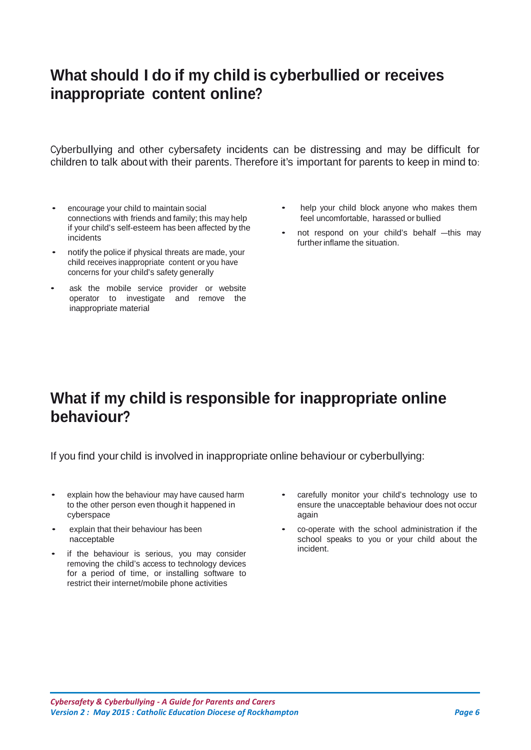### **What should I do if my child is cyberbullied or receives inappropriate content online?**

Cyberbullying and other cybersafety incidents can be distressing and may be difficult for children to talk about with their parents. Therefore it's important for parents to keep in mind to:

- encourage your child to maintain social connections with friends and family; this may help if your child's self-esteem has been affected by the incidents
- notify the police if physical threats are made, your child receives inappropriate content or you have concerns for your child's safety generally
- ask the mobile service provider or website operator to investigate and remove the inappropriate material
- help your child block anyone who makes them feel uncomfortable, harassed or bullied
- not respond on your child's behalf —this may further inflame the situation.

### **What if my child is responsible for inappropriate online behaviour?**

If you find your child is involved in inappropriate online behaviour or cyberbullying:

- explain how the behaviour may have caused harm to the other person even though it happened in cyberspace
- explain that their behaviour has been nacceptable
- if the behaviour is serious, you may consider removing the child's access to technology devices for a period of time, or installing software to restrict their internet/mobile phone activities
- carefully monitor your child's technology use to ensure the unacceptable behaviour does not occur again
- co-operate with the school administration if the school speaks to you or your child about the incident.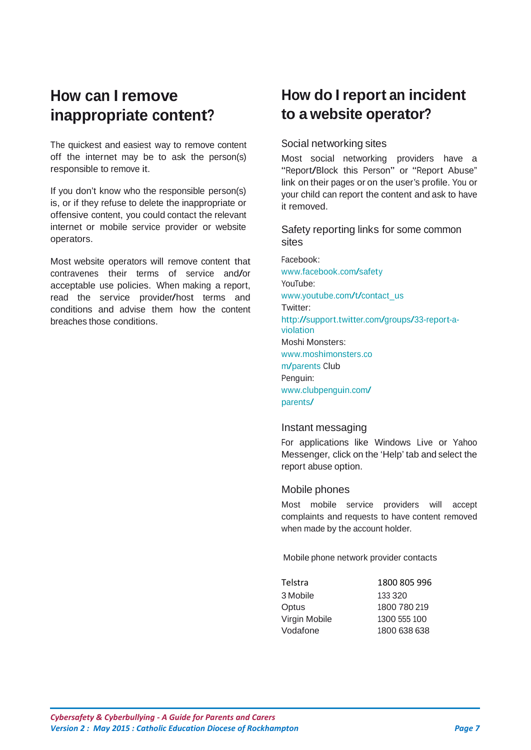### **How can I remove inappropriate content?**

The quickest and easiest way to remove content off the internet may be to ask the person(s) responsible to remove it.

If you don't know who the responsible person(s) is, or if they refuse to delete the inappropriate or offensive content, you could contact the relevant internet or mobile service provider or website operators.

Most website operators will remove content that contravenes their terms of service and/or acceptable use policies. When making a report, read the service provider/host terms and conditions and advise them how the content breaches those conditions.

### **How do I report an incident to a website operator?**

#### Social networking sites

Most social networking providers have a "Report/Block this Person" or "Report Abuse" link on their pages or on the user's profile. You or your child can report the content and ask to have it removed.

Safety reporting links for some common sites

Facebook: [www.facebook.com/safety](http://www.facebook.com/safety) YouTube: [www.youtube.com/t/contact\\_us](http://www.youtube.com/t/contact_us) Twitter: [http://support.twitter.com/groups/33-report-a](http://support.twitter.com/groups/33-report-a-violation)[violation](http://support.twitter.com/groups/33-report-a-violation) Moshi Monsters: [www.moshimonsters.co](http://www.moshimonsters.com/parents) [m/parents C](http://www.moshimonsters.com/parents)lub Penguin: [www.clubpenguin.com/](http://www.clubpenguin.com/parents/) [parents/](http://www.clubpenguin.com/parents/)

#### Instant messaging

For applications like Windows Live or Yahoo Messenger, click on the 'Help' tab and select the report abuse option.

#### Mobile phones

Most mobile service providers will accept complaints and requests to have content removed when made by the account holder.

Mobile phone network provider contacts

| Telstra       | 1800 805 996 |
|---------------|--------------|
| 3 Mobile      | 133 320      |
| Optus         | 1800 780 219 |
| Virgin Mobile | 1300 555 100 |
| Vodafone      | 1800 638 638 |
|               |              |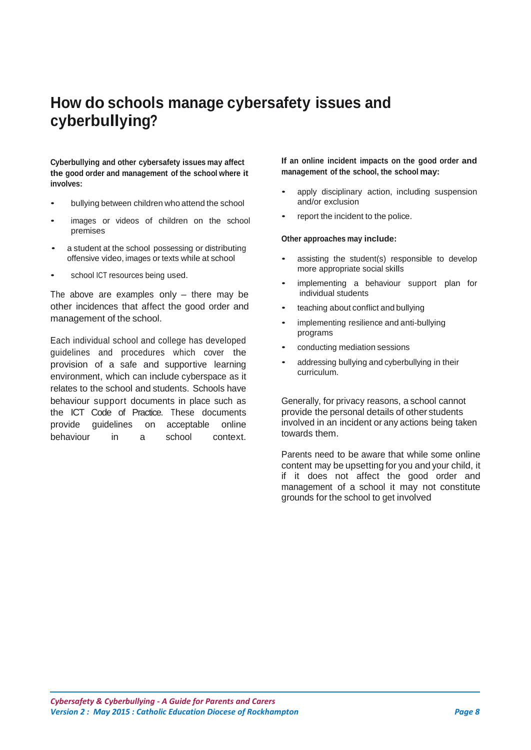### **How do schools manage cybersafety issues and cyberbullying?**

**Cyberbullying and other cybersafety issues may affect the good order and management of the school where it involves:**

- bullying between children who attend the school
- images or videos of children on the school premises
- a student at the school possessing or distributing offensive video, images or texts while at school
- school ICT resources being used.

The above are examples only  $-$  there may be other incidences that affect the good order and management of the school.

Each individual school and college has developed guidelines and procedures which cover the provision of a safe and supportive learning environment, which can include cyberspace as it relates to the school and students. Schools have behaviour support documents in place such as the ICT Code of Practice. These documents provide guidelines on acceptable online behaviour in a school context.

**If an online incident impacts on the good order and management of the school, the school may:**

- apply disciplinary action, including suspension and/or exclusion
- report the incident to the police.

#### **Other approaches may include:**

- assisting the student(s) responsible to develop more appropriate social skills
- implementing a behaviour support plan for individual students
- teaching about conflict and bullying
- implementing resilience and anti-bullying programs
- conducting mediation sessions
- addressing bullying and cyberbullying in their curriculum.

Generally, for privacy reasons, a school cannot provide the personal details of other students involved in an incident or any actions being taken towards them.

Parents need to be aware that while some online content may be upsetting for you and your child, it if it does not affect the good order and management of a school it may not constitute grounds for the school to get involved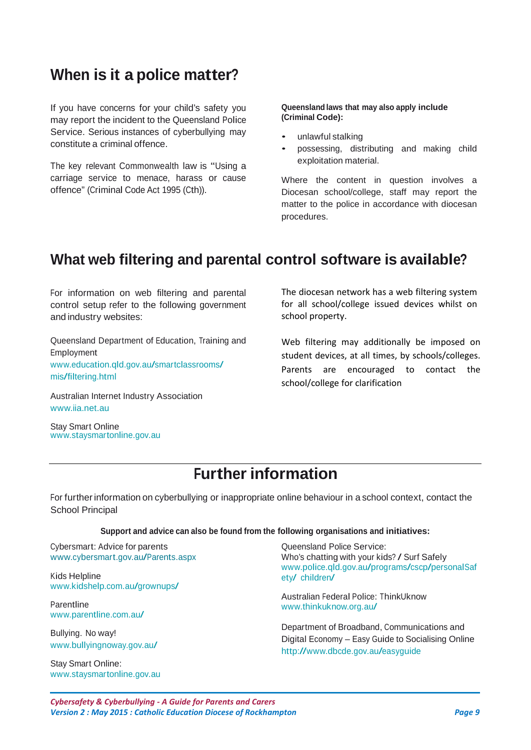### **When is it a police matter?**

If you have concerns for your child's safety you may report the incident to the Queensland Police Service. Serious instances of cyberbullying may constitute a criminal offence.

The key relevant Commonwealth law is "Using a carriage service to menace, harass or cause offence" (Criminal Code Act 1995 (Cth)).

#### **Queensland laws that may also apply include (Criminal Code):**

- unlawful stalking
- possessing, distributing and making child exploitation material.

Where the content in question involves a Diocesan school/college, staff may report the matter to the police in accordance with diocesan procedures.

### **What web filtering and parental control software is available?**

For information on web filtering and parental control setup refer to the following government and industry websites:

Queensland Department of Education, Training and Employment [www.education.qld.gov.au/smartclassrooms/](http://www/)  [mis/filtering.html](http://education.qld.gov.au/smartclassrooms/mis/filtering.html)

Australian Internet Industry Association [www.iia.net.au](http://www.iia.net.au/)

Stay Smart Online [www.staysmartonline.gov.au](http://www.staysmartonline.gov.au/) The diocesan network has a web filtering system for all school/college issued devices whilst on school property.

Web filtering may additionally be imposed on student devices, at all times, by schools/colleges. Parents are encouraged to contact the school/college for clarification

### **Further information**

For furtherinformation on cyberbullying or inappropriate online behaviour in a school context, contact the School Principal

**Support and advice can also be found from the following organisations and initiatives:**

Cybersmart: Advice for parents [www.cybersmart.gov.au/Parents.aspx](http://www.cybersmart.gov.au/Parents.aspx)

Kids Helpline [www.kidshelp.com.au/grownups/](http://www.kidshelp.com.au/grownups/)

Parentline [www.parentline.com.au/](http://www.parentline.com.au/)

Bullying. No way! [www.bullyingnoway.gov.au/](http://www.bullyingnoway.com.au/)

Stay Smart Online: [www.staysmartonline.gov.au](http://www.staysmartonline.gov.au/) Queensland Police Service: Who's chatting with your kids? / Surf Safely [www.police.qld.gov.au/programs/cscp/personalSaf](http://www.police.qld.gov.au/programs/cscp/personalSafety/children/) [ety/ children/](http://www.police.qld.gov.au/programs/cscp/personalSafety/children/)

Australian Federal Police: ThinkUknow [www.thinkuknow.org.au/](http://www.thinkuknow.org.au/)

Department of Broadband, Communications and Digital Economy – Easy Guide to Socialising Online <http://www.dbcde.gov.au/easyguide>